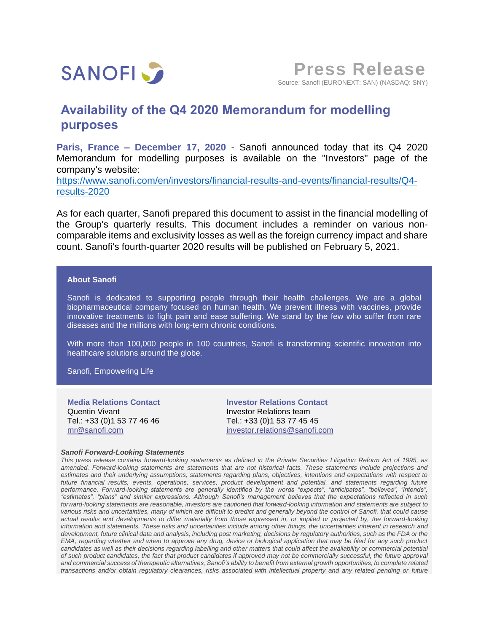

**Press Release** Source: Sanofi (EURONEXT: SAN) (NASDAQ: SNY)

## **Availability of the Q4 2020 Memorandum for modelling purposes**

**Paris, France – December 17, 2020** - Sanofi announced today that its Q4 2020 Memorandum for modelling purposes is available on the "Investors" page of the company's website:

[https://www.sanofi.com/en/investors/financial-results-and-events/financial-results/Q4](https://eur01.safelinks.protection.outlook.com/?url=https%3A%2F%2Fwww.sanofi.com%2Fen%2Finvestors%2Ffinancial-results-and-events%2Ffinancial-results%2FQ4-results-2020&data=04%7C01%7Carnaud.delepine%40sanofi.com%7C2143b123ba994d8f013208d8a272e36d%7Caca3c8d6aa714e1aa10e03572fc58c0b%7C0%7C0%7C637437961606209332%7CUnknown%7CTWFpbGZsb3d8eyJWIjoiMC4wLjAwMDAiLCJQIjoiV2luMzIiLCJBTiI6Ik1haWwiLCJXVCI6Mn0%3D%7C1000&sdata=JcOGA60Xs%2FBiitUaZ7q8WGQoX3UX6ERpmt2xrgLJh4Y%3D&reserved=0) [results-2020](https://eur01.safelinks.protection.outlook.com/?url=https%3A%2F%2Fwww.sanofi.com%2Fen%2Finvestors%2Ffinancial-results-and-events%2Ffinancial-results%2FQ4-results-2020&data=04%7C01%7Carnaud.delepine%40sanofi.com%7C2143b123ba994d8f013208d8a272e36d%7Caca3c8d6aa714e1aa10e03572fc58c0b%7C0%7C0%7C637437961606209332%7CUnknown%7CTWFpbGZsb3d8eyJWIjoiMC4wLjAwMDAiLCJQIjoiV2luMzIiLCJBTiI6Ik1haWwiLCJXVCI6Mn0%3D%7C1000&sdata=JcOGA60Xs%2FBiitUaZ7q8WGQoX3UX6ERpmt2xrgLJh4Y%3D&reserved=0)

As for each quarter, Sanofi prepared this document to assist in the financial modelling of the Group's quarterly results. This document includes a reminder on various noncomparable items and exclusivity losses as well as the foreign currency impact and share count. Sanofi's fourth-quarter 2020 results will be published on February 5, 2021.

## **About Sanofi**

Sanofi is dedicated to supporting people through their health challenges. We are a global biopharmaceutical company focused on human health. We prevent illness with vaccines, provide innovative treatments to fight pain and ease suffering. We stand by the few who suffer from rare diseases and the millions with long-term chronic conditions.

With more than 100,000 people in 100 countries, Sanofi is transforming scientific innovation into healthcare solutions around the globe.

Sanofi, Empowering Life

**Media Relations Contact** Quentin Vivant Tel.: +33 (0)1 53 77 46 46 [mr@sanofi.com](mailto:mr@sanofi.com)

**Investor Relations Contact** Investor Relations team Tel.: +33 (0)1 53 77 45 45 [investor.relations@sanofi.com](mailto:investor.relations@sanofi.com)

## *Sanofi Forward-Looking Statements*

*This press release contains forward-looking statements as defined in the Private Securities Litigation Reform Act of 1995, as amended. Forward-looking statements are statements that are not historical facts. These statements include projections and estimates and their underlying assumptions, statements regarding plans, objectives, intentions and expectations with respect to future financial results, events, operations, services, product development and potential, and statements regarding future performance. Forward-looking statements are generally identified by the words "expects", "anticipates", "believes", "intends", "estimates", "plans" and similar expressions. Although Sanofi's management believes that the expectations reflected in such forward-looking statements are reasonable, investors are cautioned that forward-looking information and statements are subject to various risks and uncertainties, many of which are difficult to predict and generally beyond the control of Sanofi, that could cause actual results and developments to differ materially from those expressed in, or implied or projected by, the forward-looking information and statements. These risks and uncertainties include among other things, the uncertainties inherent in research and development, future clinical data and analysis, including post marketing, decisions by regulatory authorities, such as the FDA or the EMA, regarding whether and when to approve any drug, device or biological application that may be filed for any such product*  candidates as well as their decisions regarding labelling and other matters that could affect the availability or commercial potential *of such product candidates, the fact that product candidates if approved may not be commercially successful, the future approval and commercial success of therapeutic alternatives, Sanofi's ability to benefit from external growth opportunities, to complete related transactions and/or obtain regulatory clearances, risks associated with intellectual property and any related pending or future*